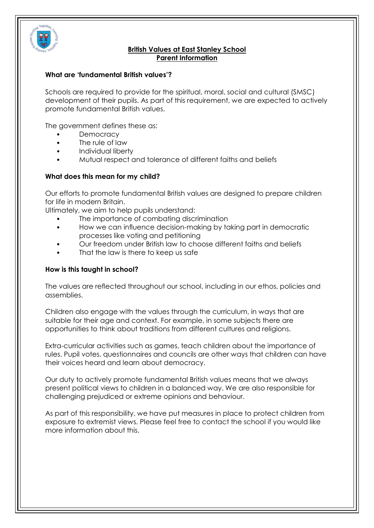

## **British Values at East Stanley School Parent Information**

### **What are 'fundamental British values'?**

Schools are required to provide for the spiritual, moral, social and cultural (SMSC) development of their pupils. As part of this requirement, we are expected to actively promote fundamental British values.

The government defines these as:

- **Democracy**
- The rule of law
- Individual liberty
- Mutual respect and tolerance of different faiths and beliefs

### **What does this mean for my child?**

Our efforts to promote fundamental British values are designed to prepare children for life in modern Britain.

Ultimately, we aim to help pupils understand:

- The importance of combating discrimination
- How we can influence decision-making by taking part in democratic processes like voting and petitioning
- Our freedom under British law to choose different faiths and beliefs
- That the law is there to keep us safe

#### **How is this taught in school?**

The values are reflected throughout our school, including in our ethos, policies and assemblies.

Children also engage with the values through the curriculum, in ways that are suitable for their age and context. For example, in some subjects there are opportunities to think about traditions from different cultures and religions.

Extra-curricular activities such as games, teach children about the importance of rules. Pupil votes, questionnaires and councils are other ways that children can have their voices heard and learn about democracy.

Our duty to actively promote fundamental British values means that we always present political views to children in a balanced way. We are also responsible for challenging prejudiced or extreme opinions and behaviour.

As part of this responsibility, we have put measures in place to protect children from exposure to extremist views. Please feel free to contact the school if you would like more information about this.